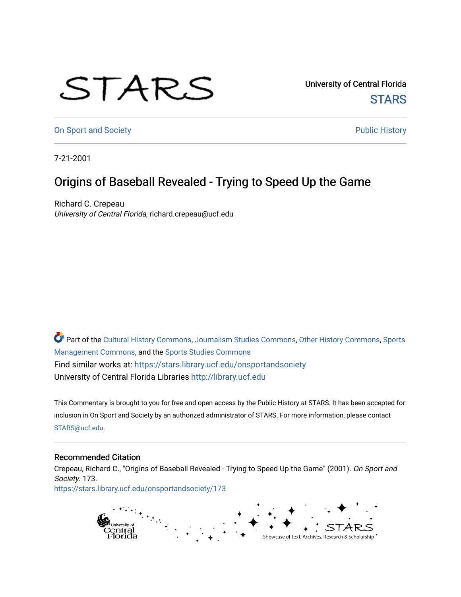## STARS

University of Central Florida **STARS** 

[On Sport and Society](https://stars.library.ucf.edu/onsportandsociety) **Public History** Public History

7-21-2001

## Origins of Baseball Revealed - Trying to Speed Up the Game

Richard C. Crepeau University of Central Florida, richard.crepeau@ucf.edu

Part of the [Cultural History Commons](http://network.bepress.com/hgg/discipline/496?utm_source=stars.library.ucf.edu%2Fonsportandsociety%2F173&utm_medium=PDF&utm_campaign=PDFCoverPages), [Journalism Studies Commons,](http://network.bepress.com/hgg/discipline/333?utm_source=stars.library.ucf.edu%2Fonsportandsociety%2F173&utm_medium=PDF&utm_campaign=PDFCoverPages) [Other History Commons,](http://network.bepress.com/hgg/discipline/508?utm_source=stars.library.ucf.edu%2Fonsportandsociety%2F173&utm_medium=PDF&utm_campaign=PDFCoverPages) [Sports](http://network.bepress.com/hgg/discipline/1193?utm_source=stars.library.ucf.edu%2Fonsportandsociety%2F173&utm_medium=PDF&utm_campaign=PDFCoverPages) [Management Commons](http://network.bepress.com/hgg/discipline/1193?utm_source=stars.library.ucf.edu%2Fonsportandsociety%2F173&utm_medium=PDF&utm_campaign=PDFCoverPages), and the [Sports Studies Commons](http://network.bepress.com/hgg/discipline/1198?utm_source=stars.library.ucf.edu%2Fonsportandsociety%2F173&utm_medium=PDF&utm_campaign=PDFCoverPages) Find similar works at: <https://stars.library.ucf.edu/onsportandsociety> University of Central Florida Libraries [http://library.ucf.edu](http://library.ucf.edu/) 

This Commentary is brought to you for free and open access by the Public History at STARS. It has been accepted for inclusion in On Sport and Society by an authorized administrator of STARS. For more information, please contact [STARS@ucf.edu](mailto:STARS@ucf.edu).

## Recommended Citation

Crepeau, Richard C., "Origins of Baseball Revealed - Trying to Speed Up the Game" (2001). On Sport and Society. 173.

[https://stars.library.ucf.edu/onsportandsociety/173](https://stars.library.ucf.edu/onsportandsociety/173?utm_source=stars.library.ucf.edu%2Fonsportandsociety%2F173&utm_medium=PDF&utm_campaign=PDFCoverPages)

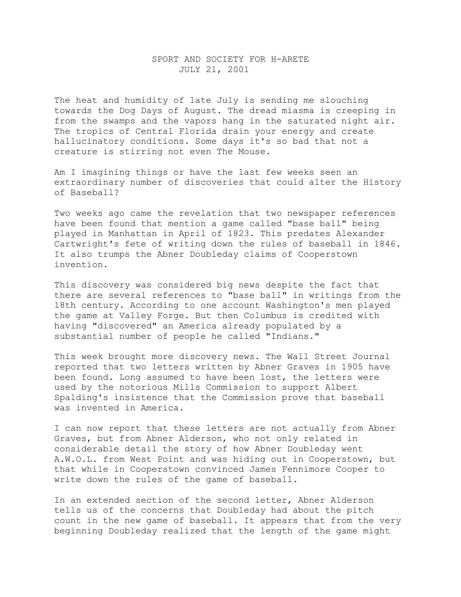## SPORT AND SOCIETY FOR H-ARETE JULY 21, 2001

The heat and humidity of late July is sending me slouching towards the Dog Days of August. The dread miasma is creeping in from the swamps and the vapors hang in the saturated night air. The tropics of Central Florida drain your energy and create hallucinatory conditions. Some days it's so bad that not a creature is stirring not even The Mouse.

Am I imagining things or have the last few weeks seen an extraordinary number of discoveries that could alter the History of Baseball?

Two weeks ago came the revelation that two newspaper references have been found that mention a game called "base ball" being played in Manhattan in April of 1823. This predates Alexander Cartwright's fete of writing down the rules of baseball in 1846. It also trumps the Abner Doubleday claims of Cooperstown invention.

This discovery was considered big news despite the fact that there are several references to "base ball" in writings from the 18th century. According to one account Washington's men played the game at Valley Forge. But then Columbus is credited with having "discovered" an America already populated by a substantial number of people he called "Indians."

This week brought more discovery news. The Wall Street Journal reported that two letters written by Abner Graves in 1905 have been found. Long assumed to have been lost, the letters were used by the notorious Mills Commission to support Albert Spalding's insistence that the Commission prove that baseball was invented in America.

I can now report that these letters are not actually from Abner Graves, but from Abner Alderson, who not only related in considerable detail the story of how Abner Doubleday went A.W.O.L. from West Point and was hiding out in Cooperstown, but that while in Cooperstown convinced James Fennimore Cooper to write down the rules of the game of baseball.

In an extended section of the second letter, Abner Alderson tells us of the concerns that Doubleday had about the pitch count in the new game of baseball. It appears that from the very beginning Doubleday realized that the length of the game might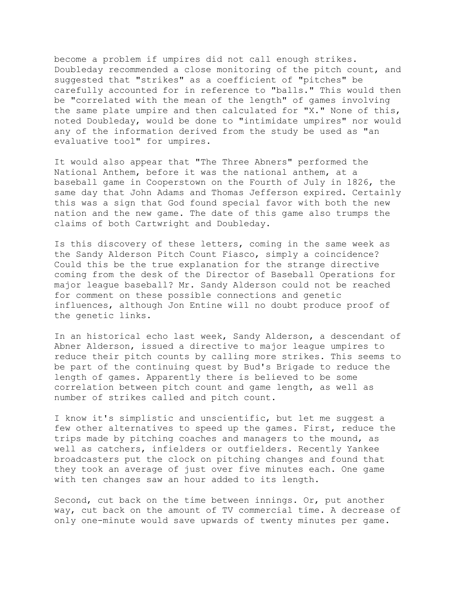become a problem if umpires did not call enough strikes. Doubleday recommended a close monitoring of the pitch count, and suggested that "strikes" as a coefficient of "pitches" be carefully accounted for in reference to "balls." This would then be "correlated with the mean of the length" of games involving the same plate umpire and then calculated for "X." None of this, noted Doubleday, would be done to "intimidate umpires" nor would any of the information derived from the study be used as "an evaluative tool" for umpires.

It would also appear that "The Three Abners" performed the National Anthem, before it was the national anthem, at a baseball game in Cooperstown on the Fourth of July in 1826, the same day that John Adams and Thomas Jefferson expired. Certainly this was a sign that God found special favor with both the new nation and the new game. The date of this game also trumps the claims of both Cartwright and Doubleday.

Is this discovery of these letters, coming in the same week as the Sandy Alderson Pitch Count Fiasco, simply a coincidence? Could this be the true explanation for the strange directive coming from the desk of the Director of Baseball Operations for major league baseball? Mr. Sandy Alderson could not be reached for comment on these possible connections and genetic influences, although Jon Entine will no doubt produce proof of the genetic links.

In an historical echo last week, Sandy Alderson, a descendant of Abner Alderson, issued a directive to major league umpires to reduce their pitch counts by calling more strikes. This seems to be part of the continuing quest by Bud's Brigade to reduce the length of games. Apparently there is believed to be some correlation between pitch count and game length, as well as number of strikes called and pitch count.

I know it's simplistic and unscientific, but let me suggest a few other alternatives to speed up the games. First, reduce the trips made by pitching coaches and managers to the mound, as well as catchers, infielders or outfielders. Recently Yankee broadcasters put the clock on pitching changes and found that they took an average of just over five minutes each. One game with ten changes saw an hour added to its length.

Second, cut back on the time between innings. Or, put another way, cut back on the amount of TV commercial time. A decrease of only one-minute would save upwards of twenty minutes per game.